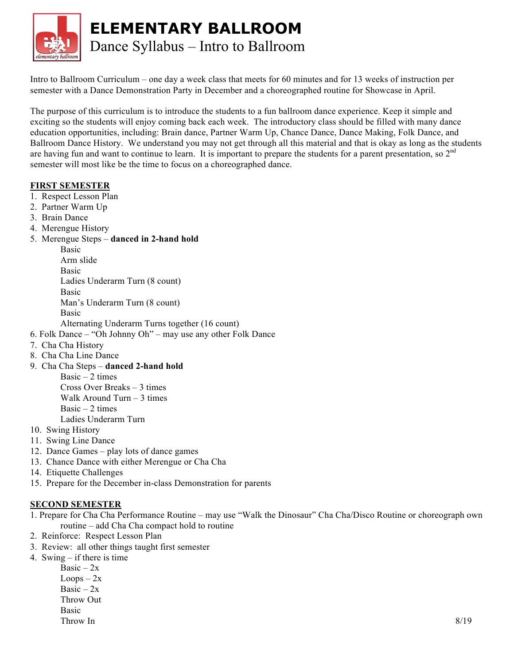

**ELEMENTARY BALLROOM**

Dance Syllabus – Intro to Ballroom

Intro to Ballroom Curriculum – one day a week class that meets for 60 minutes and for 13 weeks of instruction per semester with a Dance Demonstration Party in December and a choreographed routine for Showcase in April.

The purpose of this curriculum is to introduce the students to a fun ballroom dance experience. Keep it simple and exciting so the students will enjoy coming back each week. The introductory class should be filled with many dance education opportunities, including: Brain dance, Partner Warm Up, Chance Dance, Dance Making, Folk Dance, and Ballroom Dance History. We understand you may not get through all this material and that is okay as long as the students are having fun and want to continue to learn. It is important to prepare the students for a parent presentation, so  $2<sup>nd</sup>$ semester will most like be the time to focus on a choreographed dance.

#### **FIRST SEMESTER**

- 1. Respect Lesson Plan
- 2. Partner Warm Up
- 3. Brain Dance
- 4. Merengue History
- 5. Merengue Steps **danced in 2-hand hold**

Basic Arm slide Basic Ladies Underarm Turn (8 count) Basic Man's Underarm Turn (8 count) Basic

Alternating Underarm Turns together (16 count)

- 6. Folk Dance "Oh Johnny Oh" may use any other Folk Dance
- 7. Cha Cha History
- 8. Cha Cha Line Dance
- 9. Cha Cha Steps **danced 2-hand hold**

Basic  $-2$  times Cross Over Breaks – 3 times Walk Around Turn – 3 times  $Basic - 2 times$ Ladies Underarm Turn

- 10. Swing History
- 11. Swing Line Dance
- 12. Dance Games play lots of dance games
- 13. Chance Dance with either Merengue or Cha Cha
- 14. Etiquette Challenges
- 15. Prepare for the December in-class Demonstration for parents

# **SECOND SEMESTER**

1. Prepare for Cha Cha Performance Routine – may use "Walk the Dinosaur" Cha Cha/Disco Routine or choreograph own routine – add Cha Cha compact hold to routine

- 2. Reinforce: Respect Lesson Plan
- 3. Review: all other things taught first semester
- 4. Swing if there is time

Basic –  $2x$  $Loops - 2x$ Basic –  $2x$ Throw Out Basic  $\frac{8}{19}$